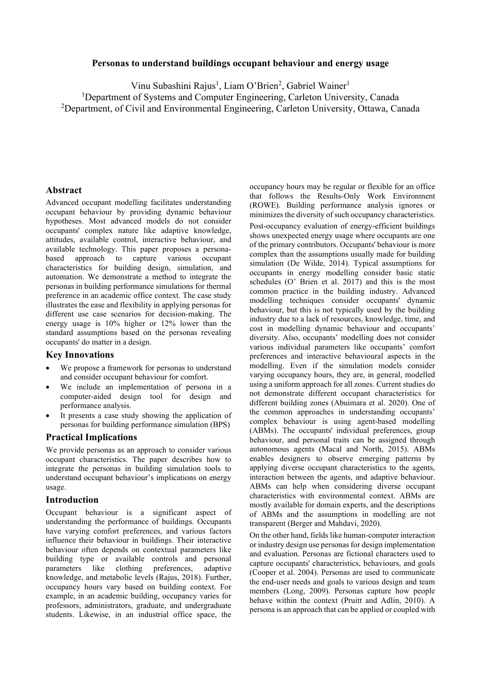## **Personas to understand buildings occupant behaviour and energy usage**

Vinu Subashini Rajus<sup>1</sup>, Liam O'Brien<sup>2</sup>, Gabriel Wainer<sup>1</sup>

<sup>1</sup>Department of Systems and Computer Engineering, Carleton University, Canada  $^{2}$ Department, of Civil and Environmental Engineering, Carleton University, Ottawa, Canada

## **Abstract**

Advanced occupant modelling facilitates understanding occupant behaviour by providing dynamic behaviour hypotheses. Most advanced models do not consider occupants' complex nature like adaptive knowledge, attitudes, available control, interactive behaviour, and available technology. This paper proposes a personabased approach to capture various occupant characteristics for building design, simulation, and automation. We demonstrate a method to integrate the personas in building performance simulations for thermal preference in an academic office context. The case study illustrates the ease and flexibility in applying personas for different use case scenarios for decision-making. The energy usage is 10% higher or 12% lower than the standard assumptions based on the personas revealing occupants' do matter in a design.

#### **Key Innovations**

- We propose a framework for personas to understand and consider occupant behaviour for comfort.
- We include an implementation of persona in a computer-aided design tool for design and performance analysis.
- It presents a case study showing the application of personas for building performance simulation (BPS)

# **Practical Implications**

We provide personas as an approach to consider various occupant characteristics. The paper describes how to integrate the personas in building simulation tools to understand occupant behaviour's implications on energy usage.

#### **Introduction**

Occupant behaviour is a significant aspect of understanding the performance of buildings. Occupants have varying comfort preferences, and various factors influence their behaviour in buildings. Their interactive behaviour often depends on contextual parameters like building type or available controls and personal parameters like clothing preferences, adaptive knowledge, and metabolic levels (Rajus, 2018). Further, occupancy hours vary based on building context. For example, in an academic building, occupancy varies for professors, administrators, graduate, and undergraduate students. Likewise, in an industrial office space, the

occupancy hours may be regular or flexible for an office that follows the Results-Only Work Environment (ROWE). Building performance analysis ignores or minimizes the diversity of such occupancy characteristics. Post-occupancy evaluation of energy-efficient buildings shows unexpected energy usage where occupants are one of the primary contributors. Occupants' behaviour is more complex than the assumptions usually made for building simulation (De Wilde, 2014). Typical assumptions for occupants in energy modelling consider basic static schedules (O' Brien et al. 2017) and this is the most common practice in the building industry. Advanced modelling techniques consider occupants' dynamic behaviour, but this is not typically used by the building industry due to a lack of resources, knowledge, time, and cost in modelling dynamic behaviour and occupants' diversity. Also, occupants' modelling does not consider various individual parameters like occupants' comfort preferences and interactive behavioural aspects in the modelling. Even if the simulation models consider varying occupancy hours, they are, in general, modelled using a uniform approach for all zones. Current studies do not demonstrate different occupant characteristics for different building zones (Abuimara et al. 2020). One of the common approaches in understanding occupants' complex behaviour is using agent-based modelling (ABMs). The occupants' individual preferences, group behaviour, and personal traits can be assigned through autonomous agents (Macal and North, 2015). ABMs enables designers to observe emerging patterns by applying diverse occupant characteristics to the agents, interaction between the agents, and adaptive behaviour. ABMs can help when considering diverse occupant characteristics with environmental context. ABMs are mostly available for domain experts, and the descriptions of ABMs and the assumptions in modelling are not transparent (Berger and Mahdavi, 2020).

On the other hand, fields like human-computer interaction or industry design use personas for design implementation and evaluation. Personas are fictional characters used to capture occupants' characteristics, behaviours, and goals (Cooper et al. 2004). Personas are used to communicate the end-user needs and goals to various design and team members (Long, 2009). Personas capture how people behave within the context (Pruitt and Adlin, 2010). A persona is an approach that can be applied or coupled with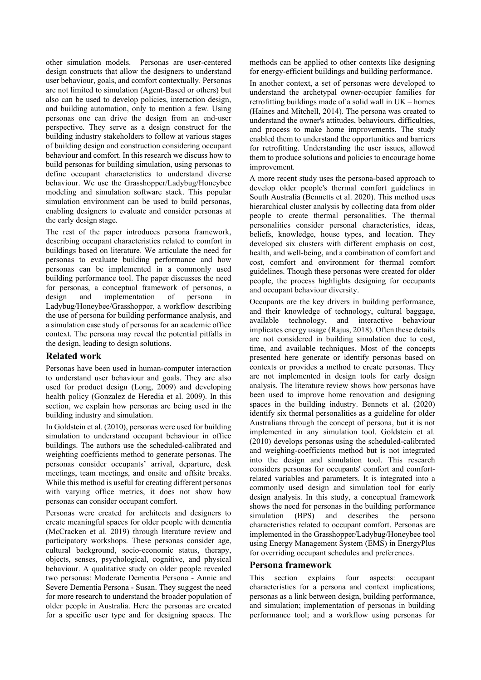other simulation models. Personas are user-centered design constructs that allow the designers to understand user behaviour, goals, and comfort contextually. Personas are not limited to simulation (Agent-Based or others) but also can be used to develop policies, interaction design, and building automation, only to mention a few. Using personas one can drive the design from an end-user perspective. They serve as a design construct for the building industry stakeholders to follow at various stages of building design and construction considering occupant behaviour and comfort. In this research we discuss how to build personas for building simulation, using personas to define occupant characteristics to understand diverse behaviour. We use the Grasshopper/Ladybug/Honeybee modeling and simulation software stack. This popular simulation environment can be used to build personas, enabling designers to evaluate and consider personas at the early design stage.

The rest of the paper introduces persona framework, describing occupant characteristics related to comfort in buildings based on literature. We articulate the need for personas to evaluate building performance and how personas can be implemented in a commonly used building performance tool. The paper discusses the need for personas, a conceptual framework of personas, a design and implementation of persona in Ladybug/Honeybee/Grasshopper, a workflow describing the use of persona for building performance analysis, and a simulation case study of personas for an academic office context. The persona may reveal the potential pitfalls in the design, leading to design solutions.

# **Related work**

Personas have been used in human-computer interaction to understand user behaviour and goals. They are also used for product design (Long, 2009) and developing health policy (Gonzalez de Heredia et al. 2009). In this section, we explain how personas are being used in the building industry and simulation.

In Goldstein et al. (2010), personas were used for building simulation to understand occupant behaviour in office buildings. The authors use the scheduled-calibrated and weighting coefficients method to generate personas. The personas consider occupants' arrival, departure, desk meetings, team meetings, and onsite and offsite breaks. While this method is useful for creating different personas with varying office metrics, it does not show how personas can consider occupant comfort.

Personas were created for architects and designers to create meaningful spaces for older people with dementia (McCracken et al. 2019) through literature review and participatory workshops. These personas consider age, cultural background, socio-economic status, therapy, objects, senses, psychological, cognitive, and physical behaviour. A qualitative study on older people revealed two personas: Moderate Dementia Persona - Annie and Severe Dementia Persona - Susan. They suggest the need for more research to understand the broader population of older people in Australia. Here the personas are created for a specific user type and for designing spaces. The methods can be applied to other contexts like designing for energy-efficient buildings and building performance.

In another context, a set of personas were developed to understand the archetypal owner-occupier families for retrofitting buildings made of a solid wall in UK – homes (Haines and Mitchell, 2014). The persona was created to understand the owner's attitudes, behaviours, difficulties, and process to make home improvements. The study enabled them to understand the opportunities and barriers for retrofitting. Understanding the user issues, allowed them to produce solutions and policies to encourage home improvement.

A more recent study uses the persona-based approach to develop older people's thermal comfort guidelines in South Australia (Bennetts et al. 2020). This method uses hierarchical cluster analysis by collecting data from older people to create thermal personalities. The thermal personalities consider personal characteristics, ideas, beliefs, knowledge, house types, and location. They developed six clusters with different emphasis on cost, health, and well-being, and a combination of comfort and cost, comfort and environment for thermal comfort guidelines. Though these personas were created for older people, the process highlights designing for occupants and occupant behaviour diversity.

Occupants are the key drivers in building performance, and their knowledge of technology, cultural baggage, available technology, and interactive behaviour implicates energy usage (Rajus, 2018). Often these details are not considered in building simulation due to cost, time, and available techniques. Most of the concepts presented here generate or identify personas based on contexts or provides a method to create personas. They are not implemented in design tools for early design analysis. The literature review shows how personas have been used to improve home renovation and designing spaces in the building industry. Bennets et al. (2020) identify six thermal personalities as a guideline for older Australians through the concept of persona, but it is not implemented in any simulation tool. Goldstein et al. (2010) develops personas using the scheduled-calibrated and weighing-coefficients method but is not integrated into the design and simulation tool. This research considers personas for occupants' comfort and comfortrelated variables and parameters. It is integrated into a commonly used design and simulation tool for early design analysis. In this study, a conceptual framework shows the need for personas in the building performance simulation (BPS) and describes the persona characteristics related to occupant comfort. Personas are implemented in the Grasshopper/Ladybug/Honeybee tool using Energy Management System (EMS) in EnergyPlus for overriding occupant schedules and preferences.

## **Persona framework**

This section explains four aspects: occupant characteristics for a persona and context implications; personas as a link between design, building performance, and simulation; implementation of personas in building performance tool; and a workflow using personas for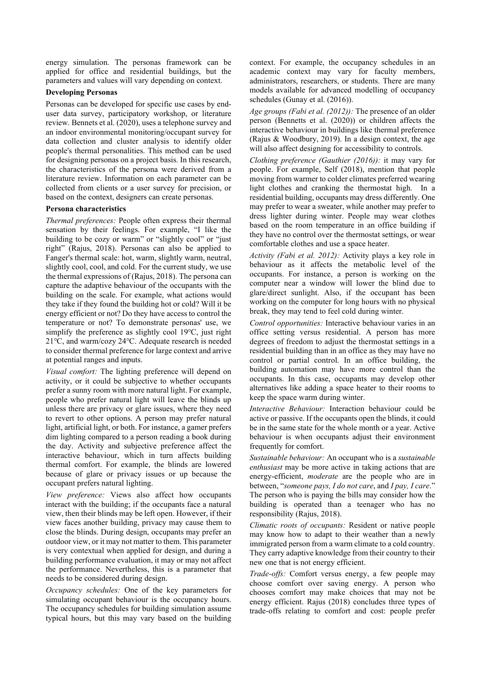energy simulation. The personas framework can be applied for office and residential buildings, but the parameters and values will vary depending on context.

## **Developing Personas**

Personas can be developed for specific use cases by enduser data survey, participatory workshop, or literature review. Bennets et al. (2020), uses a telephone survey and an indoor environmental monitoring/occupant survey for data collection and cluster analysis to identify older people's thermal personalities. This method can be used for designing personas on a project basis. In this research, the characteristics of the persona were derived from a literature review. Information on each parameter can be collected from clients or a user survey for precision, or based on the context, designers can create personas.

# **Persona characteristics**

*Thermal preferences:* People often express their thermal sensation by their feelings. For example, "I like the building to be cozy or warm" or "slightly cool" or "just right" (Rajus, 2018). Personas can also be applied to Fanger's thermal scale: hot, warm, slightly warm, neutral, slightly cool, cool, and cold. For the current study, we use the thermal expressions of (Rajus, 2018). The persona can capture the adaptive behaviour of the occupants with the building on the scale. For example, what actions would they take if they found the building hot or cold? Will it be energy efficient or not? Do they have access to control the temperature or not? To demonstrate personas' use, we simplify the preference as slightly cool 19℃, just right 21℃, and warm/cozy 24℃. Adequate research is needed to consider thermal preference for large context and arrive at potential ranges and inputs.

*Visual comfort:* The lighting preference will depend on activity, or it could be subjective to whether occupants prefer a sunny room with more natural light. For example, people who prefer natural light will leave the blinds up unless there are privacy or glare issues, where they need to revert to other options. A person may prefer natural light, artificial light, or both. For instance, a gamer prefers dim lighting compared to a person reading a book during the day. Activity and subjective preference affect the interactive behaviour, which in turn affects building thermal comfort. For example, the blinds are lowered because of glare or privacy issues or up because the occupant prefers natural lighting.

*View preference:* Views also affect how occupants interact with the building; if the occupants face a natural view, then their blinds may be left open. However, if their view faces another building, privacy may cause them to close the blinds. During design, occupants may prefer an outdoor view, or it may not matter to them. This parameter is very contextual when applied for design, and during a building performance evaluation, it may or may not affect the performance. Nevertheless, this is a parameter that needs to be considered during design.

*Occupancy schedules:* One of the key parameters for simulating occupant behaviour is the occupancy hours. The occupancy schedules for building simulation assume typical hours, but this may vary based on the building context. For example, the occupancy schedules in an academic context may vary for faculty members, administrators, researchers, or students. There are many models available for advanced modelling of occupancy schedules (Gunay et al. (2016)).

*Age groups (Fabi et al. (2012)):* The presence of an older person (Bennetts et al. (2020)) or children affects the interactive behaviour in buildings like thermal preference (Rajus & Woodbury, 2019). In a design context, the age will also affect designing for accessibility to controls.

*Clothing preference (Gauthier (2016)):* it may vary for people. For example, Self (2018), mention that people moving from warmer to colder climates preferred wearing light clothes and cranking the thermostat high. In a residential building, occupants may dress differently. One may prefer to wear a sweater, while another may prefer to dress lighter during winter. People may wear clothes based on the room temperature in an office building if they have no control over the thermostat settings, or wear comfortable clothes and use a space heater.

*Activity (Fabi et al. 2012):* Activity plays a key role in behaviour as it affects the metabolic level of the occupants. For instance, a person is working on the computer near a window will lower the blind due to glare/direct sunlight. Also, if the occupant has been working on the computer for long hours with no physical break, they may tend to feel cold during winter.

*Control opportunities:* Interactive behaviour varies in an office setting versus residential. A person has more degrees of freedom to adjust the thermostat settings in a residential building than in an office as they may have no control or partial control. In an office building, the building automation may have more control than the occupants. In this case, occupants may develop other alternatives like adding a space heater to their rooms to keep the space warm during winter.

*Interactive Behaviour:* Interaction behaviour could be active or passive. If the occupants open the blinds, it could be in the same state for the whole month or a year. Active behaviour is when occupants adjust their environment frequently for comfort.

*Sustainable behaviour:* An occupant who is a *sustainable enthusiast* may be more active in taking actions that are energy-efficient, *moderate* are the people who are in between, "*someone pays, I do not care*, and *I pay, I care*." The person who is paying the bills may consider how the building is operated than a teenager who has no responsibility (Rajus, 2018).

*Climatic roots of occupants:* Resident or native people may know how to adapt to their weather than a newly immigrated person from a warm climate to a cold country. They carry adaptive knowledge from their country to their new one that is not energy efficient.

*Trade-offs:* Comfort versus energy, a few people may choose comfort over saving energy. A person who chooses comfort may make choices that may not be energy efficient. Rajus (2018) concludes three types of trade-offs relating to comfort and cost: people prefer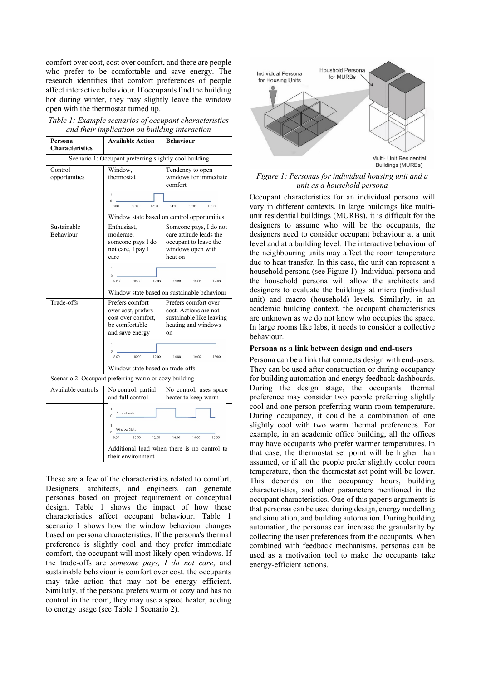comfort over cost, cost over comfort, and there are people who prefer to be comfortable and save energy. The research identifies that comfort preferences of people affect interactive behaviour. If occupants find the building hot during winter, they may slightly leave the window open with the thermostat turned up.

| Persona                                                | <b>Available Action</b>                                                                                                      | Behaviour                                       |  |  |  |
|--------------------------------------------------------|------------------------------------------------------------------------------------------------------------------------------|-------------------------------------------------|--|--|--|
| <b>Characteristics</b>                                 |                                                                                                                              |                                                 |  |  |  |
| Scenario 1: Occupant preferring slightly cool building |                                                                                                                              |                                                 |  |  |  |
| Control                                                | Window,                                                                                                                      | Tendency to open                                |  |  |  |
| opportunities                                          | thermostat                                                                                                                   | windows for immediate<br>comfort                |  |  |  |
|                                                        | ĭ                                                                                                                            |                                                 |  |  |  |
|                                                        | $\theta$<br>10:00<br>8:00<br>12:00                                                                                           | 14:00<br>16:00<br>18:00                         |  |  |  |
|                                                        | Window state based on control opportunities                                                                                  |                                                 |  |  |  |
| Sustainable                                            | Enthusiast,<br>Someone pays, I do not                                                                                        |                                                 |  |  |  |
| <b>Behaviour</b>                                       | moderate.                                                                                                                    | care attitude leads the                         |  |  |  |
|                                                        | someone pays I do                                                                                                            | occupant to leave the                           |  |  |  |
|                                                        | not care, I pay I                                                                                                            | windows open with                               |  |  |  |
|                                                        | care                                                                                                                         | heat on                                         |  |  |  |
|                                                        | I.                                                                                                                           |                                                 |  |  |  |
|                                                        | Ò<br>8:00<br>10:00<br>12:00<br>14:00<br>18:00<br>16:00                                                                       |                                                 |  |  |  |
|                                                        | Window state based on sustainable behaviour                                                                                  |                                                 |  |  |  |
| Trade-offs                                             | Prefers comfort                                                                                                              | Prefers comfort over                            |  |  |  |
|                                                        | over cost, prefers                                                                                                           | cost. Actions are not                           |  |  |  |
|                                                        | cost over comfort,<br>be comfortable                                                                                         | sustainable like leaving<br>heating and windows |  |  |  |
|                                                        | and save energy                                                                                                              | on                                              |  |  |  |
|                                                        | ı                                                                                                                            |                                                 |  |  |  |
|                                                        | $\Omega$                                                                                                                     |                                                 |  |  |  |
|                                                        | 8:00<br>10:00<br>12:00                                                                                                       | 14:00<br>16:00<br>18:00                         |  |  |  |
|                                                        | Window state based on trade-offs                                                                                             |                                                 |  |  |  |
|                                                        | Scenario 2: Occupant preferring warm or cozy building                                                                        |                                                 |  |  |  |
| Available controls                                     | No control, partial                                                                                                          | No control, uses space                          |  |  |  |
|                                                        | and full control<br>heater to keep warm                                                                                      |                                                 |  |  |  |
|                                                        | Space heater                                                                                                                 |                                                 |  |  |  |
|                                                        | <b>Window State</b><br>Ď<br>8:00<br>10:00<br>12:00<br>14:00<br>16:00<br>18:00<br>Additional load when there is no control to |                                                 |  |  |  |
|                                                        |                                                                                                                              |                                                 |  |  |  |
|                                                        |                                                                                                                              |                                                 |  |  |  |

| Table 1: Example scenarios of occupant characteristics |
|--------------------------------------------------------|
| and their implication on building interaction          |

These are a few of the characteristics related to comfort. Designers, architects, and engineers can generate personas based on project requirement or conceptual design. Table 1 shows the impact of how these characteristics affect occupant behaviour. Table 1 scenario 1 shows how the window behaviour changes based on persona characteristics. If the persona's thermal preference is slightly cool and they prefer immediate comfort, the occupant will most likely open windows. If the trade-offs are *someone pays, I do not care*, and sustainable behaviour is comfort over cost. the occupants may take action that may not be energy efficient. Similarly, if the persona prefers warm or cozy and has no control in the room, they may use a space heater, adding to energy usage (see Table 1 Scenario 2).

their environment



*Figure 1: Personas for individual housing unit and a unit as a household persona*

Occupant characteristics for an individual persona will vary in different contexts. In large buildings like multiunit residential buildings (MURBs), it is difficult for the designers to assume who will be the occupants, the designers need to consider occupant behaviour at a unit level and at a building level. The interactive behaviour of the neighbouring units may affect the room temperature due to heat transfer. In this case, the unit can represent a household persona (see Figure 1). Individual persona and the household persona will allow the architects and designers to evaluate the buildings at micro (individual unit) and macro (household) levels. Similarly, in an academic building context, the occupant characteristics are unknown as we do not know who occupies the space. In large rooms like labs, it needs to consider a collective behaviour.

#### **Persona as a link between design and end-users**

Persona can be a link that connects design with end-users. They can be used after construction or during occupancy for building automation and energy feedback dashboards. During the design stage, the occupants' thermal preference may consider two people preferring slightly cool and one person preferring warm room temperature. During occupancy, it could be a combination of one slightly cool with two warm thermal preferences. For example, in an academic office building, all the offices may have occupants who prefer warmer temperatures. In that case, the thermostat set point will be higher than assumed, or if all the people prefer slightly cooler room temperature, then the thermostat set point will be lower. This depends on the occupancy hours, building characteristics, and other parameters mentioned in the occupant characteristics. One of this paper's arguments is that personas can be used during design, energy modelling and simulation, and building automation. During building automation, the personas can increase the granularity by collecting the user preferences from the occupants. When combined with feedback mechanisms, personas can be used as a motivation tool to make the occupants take energy-efficient actions.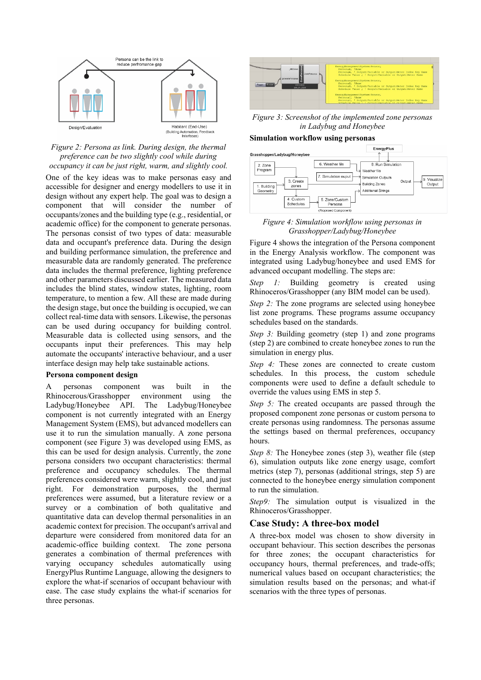

#### *Figure 2: Persona as link. During design, the thermal preference can be two slightly cool while during occupancy it can be just right, warm, and slightly cool.*

One of the key ideas was to make personas easy and accessible for designer and energy modellers to use it in design without any expert help. The goal was to design a component that will consider the number of occupants/zones and the building type (e.g., residential, or academic office) for the component to generate personas. The personas consist of two types of data: measurable data and occupant's preference data. During the design and building performance simulation, the preference and measurable data are randomly generated. The preference data includes the thermal preference, lighting preference and other parameters discussed earlier. The measured data includes the blind states, window states, lighting, room temperature, to mention a few. All these are made during the design stage, but once the building is occupied, we can collect real-time data with sensors. Likewise, the personas can be used during occupancy for building control. Measurable data is collected using sensors, and the occupants input their preferences. This may help automate the occupants' interactive behaviour, and a user interface design may help take sustainable actions.

#### **Persona component design**

A personas component was built in the Rhinocerous/Grasshopper environment using the Ladybug/Honeybee API. The Ladybug/Honeybee component is not currently integrated with an Energy Management System (EMS), but advanced modellers can use it to run the simulation manually. A zone persona component (see Figure 3) was developed using EMS, as this can be used for design analysis. Currently, the zone persona considers two occupant characteristics: thermal preference and occupancy schedules. The thermal preferences considered were warm, slightly cool, and just right. For demonstration purposes, the thermal preferences were assumed, but a literature review or a survey or a combination of both qualitative and quantitative data can develop thermal personalities in an academic context for precision. The occupant's arrival and departure were considered from monitored data for an academic-office building context. The zone persona generates a combination of thermal preferences with varying occupancy schedules automatically using EnergyPlus Runtime Language, allowing the designers to explore the what-if scenarios of occupant behaviour with ease. The case study explains the what-if scenarios for three personas.



*Figure 3: Screenshot of the implemented zone personas in Ladybug and Honeybee*

#### **Simulation workflow using personas**



*Figure 4: Simulation workflow using personas in Grasshopper/Ladybug/Honeybee*

Figure 4 shows the integration of the Persona component in the Energy Analysis workflow. The component was integrated using Ladybug/honeybee and used EMS for advanced occupant modelling. The steps are:

*Step 1:* Building geometry is created using Rhinoceros/Grasshopper (any BIM model can be used).

*Step 2:* The zone programs are selected using honeybee list zone programs. These programs assume occupancy schedules based on the standards.

*Step 3:* Building geometry (step 1) and zone programs (step 2) are combined to create honeybee zones to run the simulation in energy plus.

*Step 4:* These zones are connected to create custom schedules. In this process, the custom schedule components were used to define a default schedule to override the values using EMS in step 5.

*Step 5:* The created occupants are passed through the proposed component zone personas or custom persona to create personas using randomness. The personas assume the settings based on thermal preferences, occupancy hours.

*Step 8:* The Honeybee zones (step 3), weather file (step 6), simulation outputs like zone energy usage, comfort metrics (step 7), personas (additional strings, step 5) are connected to the honeybee energy simulation component to run the simulation.

*Step9:* The simulation output is visualized in the Rhinoceros/Grasshopper.

## **Case Study: A three-box model**

A three-box model was chosen to show diversity in occupant behaviour. This section describes the personas for three zones; the occupant characteristics for occupancy hours, thermal preferences, and trade-offs; numerical values based on occupant characteristics; the simulation results based on the personas; and what-if scenarios with the three types of personas.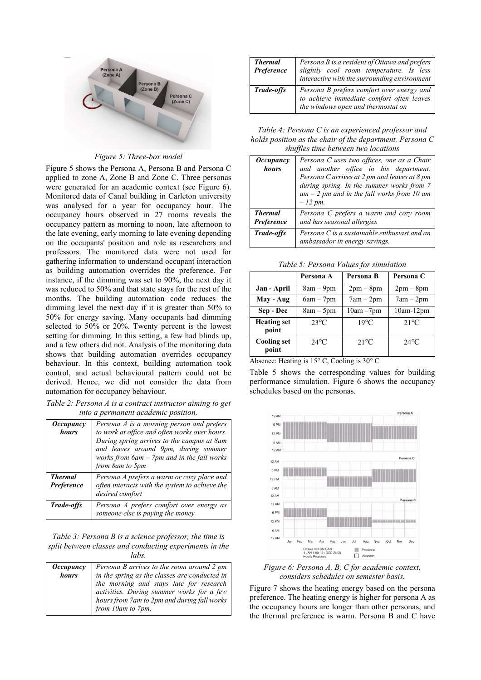

## *Figure 5: Three-box model*

Figure 5 shows the Persona A, Persona B and Persona C applied to zone A, Zone B and Zone C. Three personas were generated for an academic context (see Figure 6). Monitored data of Canal building in Carleton university was analysed for a year for occupancy hour. The occupancy hours observed in 27 rooms reveals the occupancy pattern as morning to noon, late afternoon to the late evening, early morning to late evening depending on the occupants' position and role as researchers and professors. The monitored data were not used for gathering information to understand occupant interaction as building automation overrides the preference. For instance, if the dimming was set to 90%, the next day it was reduced to 50% and that state stays for the rest of the months. The building automation code reduces the dimming level the next day if it is greater than 50% to 50% for energy saving. Many occupants had dimming selected to 50% or 20%. Twenty percent is the lowest setting for dimming. In this setting, a few had blinds up, and a few others did not. Analysis of the monitoring data shows that building automation overrides occupancy behaviour. In this context, building automation took control, and actual behavioural pattern could not be derived. Hence, we did not consider the data from automation for occupancy behaviour.

*Table 2: Persona A is a contract instructor aiming to get into a permanent academic position.*

| <i><b>Occupancy</b></i><br>hours | Persona A is a morning person and prefers<br>to work at office and often works over hours.<br>During spring arrives to the campus at 8am<br>and leaves around 9pm, during summer<br>works from 6am - 7pm and in the fall works<br>from 8am to 5pm |
|----------------------------------|---------------------------------------------------------------------------------------------------------------------------------------------------------------------------------------------------------------------------------------------------|
| <b>Thermal</b><br>Preference     | Persona A prefers a warm or cozy place and<br>often interacts with the system to achieve the<br>desired comfort                                                                                                                                   |
| Trade-offs                       | Persona A prefers comfort over energy as<br>someone else is paying the money                                                                                                                                                                      |

*Table 3: Persona B is a science professor, the time is split between classes and conducting experiments in the labs.*

| <i><b>Occupancy</b></i> | Persona B arrives to the room around 2 pm     |
|-------------------------|-----------------------------------------------|
| hours                   | in the spring as the classes are conducted in |
|                         | the morning and stays late for research       |
|                         | activities. During summer works for a few     |
|                         | hours from 7am to 2pm and during fall works   |
|                         | from 10am to 7pm.                             |

| <b>Thermal</b><br>Preference | Persona B is a resident of Ottawa and prefers<br>slightly cool room temperature. Is less<br>interactive with the surrounding environment |  |
|------------------------------|------------------------------------------------------------------------------------------------------------------------------------------|--|
| Trade-offs                   | Persona B prefers comfort over energy and<br>to achieve immediate comfort often leaves<br>the windows open and thermostat on             |  |

*Table 4: Persona C is an experienced professor and holds position as the chair of the department. Persona C shuffles time between two locations*

| <i><b>Occupancy</b></i><br>hours | Persona C uses two offices, one as a Chair<br>and another office in his department.<br>Persona C arrives at 2 pm and leaves at 8 pm<br>during spring. In the summer works from 7<br>$am - 2$ pm and in the fall works from 10 am |  |
|----------------------------------|----------------------------------------------------------------------------------------------------------------------------------------------------------------------------------------------------------------------------------|--|
| <b>Thermal</b><br>Preference     | $-12$ pm.<br>Persona C prefers a warm and cozy room<br>and has seasonal allergies                                                                                                                                                |  |
| <b>Trade-offs</b>                | Persona C is a sustainable enthusiast and an<br>ambassador in energy savings.                                                                                                                                                    |  |

*Table 5: Persona Values for simulation*

|                             | Persona A      | Persona B      | Persona C      |  |
|-----------------------------|----------------|----------------|----------------|--|
| Jan - April                 | $8am - 9pm$    | $2pm-8pm$      | $2pm-8pm$      |  |
| May - Aug                   | $6am - 7pm$    | $7am - 2pm$    | $7am - 2pm$    |  |
| Sep - Dec                   | $8am - 5pm$    | $10am - 7pm$   | $10am-12pm$    |  |
| <b>Heating set</b><br>point | $23^{\circ}$ C | $19^{\circ}$ C | $21^{\circ}$ C |  |
| <b>Cooling set</b><br>point | $24^{\circ}$ C | $21^{\circ}$ C | $24^{\circ}$ C |  |

Absence: Heating is 15° C, Cooling is 30° C

Table 5 shows the corresponding values for building performance simulation. Figure 6 shows the occupancy schedules based on the personas.



*Figure 6: Persona A, B, C for academic context, considers schedules on semester basis.*

Figure 7 shows the heating energy based on the persona preference. The heating energy is higher for persona A as the occupancy hours are longer than other personas, and the thermal preference is warm. Persona B and C have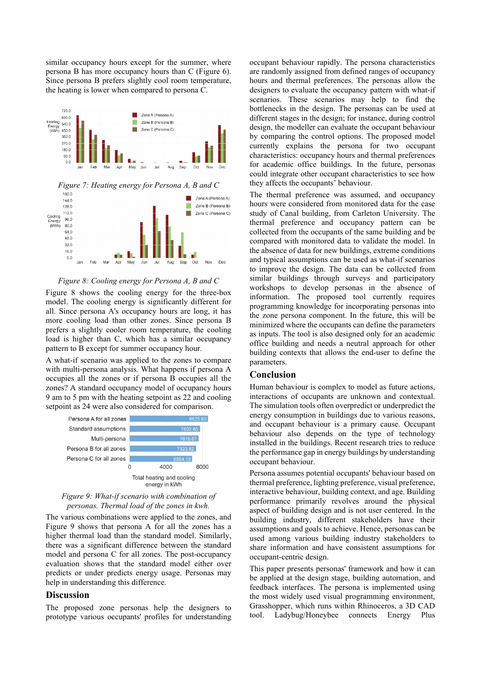similar occupancy hours except for the summer, where persona B has more occupancy hours than C (Figure 6). Since persona B prefers slightly cool room temperature, the heating is lower when compared to persona C.



#### *Figure 8: Cooling energy for Persona A, B and C*

Figure 8 shows the cooling energy for the three-box model. The cooling energy is significantly different for all. Since persona A's occupancy hours are long, it has more cooling load than other zones. Since persona B prefers a slightly cooler room temperature, the cooling load is higher than C, which has a similar occupancy pattern to B except for summer occupancy hour.

A what-if scenario was applied to the zones to compare with multi-persona analysis. What happens if persona A occupies all the zones or if persona B occupies all the zones? A standard occupancy model of occupancy hours 9 am to 5 pm with the heating setpoint as 22 and cooling setpoint as 24 were also considered for comparison.



*Figure 9: What-if scenario with combination of personas. Thermal load of the zones in kwh.*

The various combinations were applied to the zones, and Figure 9 shows that persona A for all the zones has a higher thermal load than the standard model. Similarly, there was a significant difference between the standard model and persona C for all zones. The post-occupancy evaluation shows that the standard model either over predicts or under predicts energy usage. Personas may help in understanding this difference.

## **Discussion**

The proposed zone personas help the designers to prototype various occupants' profiles for understanding

occupant behaviour rapidly. The persona characteristics are randomly assigned from defined ranges of occupancy hours and thermal preferences. The personas allow the designers to evaluate the occupancy pattern with what-if scenarios. These scenarios may help to find the bottlenecks in the design. The personas can be used at different stages in the design; for instance, during control design, the modeller can evaluate the occupant behaviour by comparing the control options. The proposed model currently explains the persona for two occupant characteristics: occupancy hours and thermal preferences for academic office buildings. In the future, personas could integrate other occupant characteristics to see how they affects the occupants' behaviour.

The thermal preference was assumed, and occupancy hours were considered from monitored data for the case study of Canal building, from Carleton University. The thermal preference and occupancy pattern can be collected from the occupants of the same building and be compared with monitored data to validate the model. In the absence of data for new buildings, extreme conditions and typical assumptions can be used as what-if scenarios to improve the design. The data can be collected from similar buildings through surveys and participatory workshops to develop personas in the absence of information. The proposed tool currently requires programming knowledge for incorporating personas into the zone persona component. In the future, this will be minimized where the occupants can define the parameters as inputs. The tool is also designed only for an academic office building and needs a neutral approach for other building contexts that allows the end-user to define the parameters.

## **Conclusion**

Human behaviour is complex to model as future actions, interactions of occupants are unknown and contextual. The simulation tools often overpredict or underpredict the energy consumption in buildings due to various reasons, and occupant behaviour is a primary cause. Occupant behaviour also depends on the type of technology installed in the buildings. Recent research tries to reduce the performance gap in energy buildings by understanding occupant behaviour.

Persona assumes potential occupants' behaviour based on thermal preference, lighting preference, visual preference, interactive behaviour, building context, and age. Building performance primarily revolves around the physical aspect of building design and is not user centered. In the building industry, different stakeholders have their assumptions and goals to achieve. Hence, personas can be used among various building industry stakeholders to share information and have consistent assumptions for occupant-centric design.

This paper presents personas' framework and how it can be applied at the design stage, building automation, and feedback interfaces. The persona is implemented using the most widely used visual programming environment, Grasshopper, which runs within Rhinoceros, a 3D CAD tool. Ladybug/Honeybee connects Energy Plus